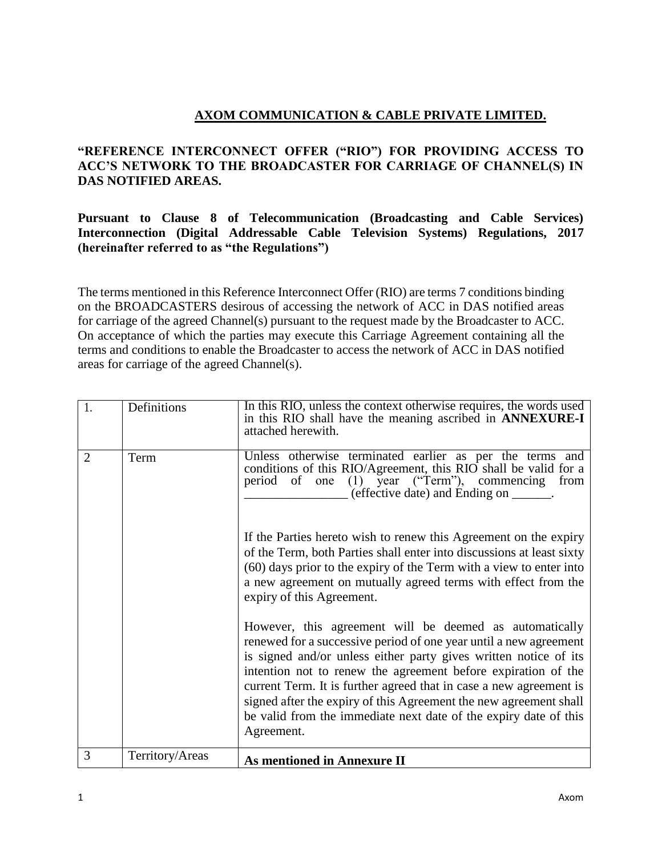# **AXOM COMMUNICATION & CABLE PRIVATE LIMITED.**

### **"REFERENCE INTERCONNECT OFFER ("RIO") FOR PROVIDING ACCESS TO ACC'S NETWORK TO THE BROADCASTER FOR CARRIAGE OF CHANNEL(S) IN DAS NOTIFIED AREAS.**

**Pursuant to Clause 8 of Telecommunication (Broadcasting and Cable Services) Interconnection (Digital Addressable Cable Television Systems) Regulations, 2017 (hereinafter referred to as "the Regulations")**

The terms mentioned in this Reference Interconnect Offer (RIO) are terms 7 conditions binding on the BROADCASTERS desirous of accessing the network of ACC in DAS notified areas for carriage of the agreed Channel(s) pursuant to the request made by the Broadcaster to ACC. On acceptance of which the parties may execute this Carriage Agreement containing all the terms and conditions to enable the Broadcaster to access the network of ACC in DAS notified areas for carriage of the agreed Channel(s).

| 1.             | Definitions     | In this RIO, unless the context otherwise requires, the words used<br>in this RIO shall have the meaning ascribed in <b>ANNEXURE-I</b><br>attached herewith.                                                                                                                                                                                                                                                                                                                                   |
|----------------|-----------------|------------------------------------------------------------------------------------------------------------------------------------------------------------------------------------------------------------------------------------------------------------------------------------------------------------------------------------------------------------------------------------------------------------------------------------------------------------------------------------------------|
| $\overline{2}$ | Term            | Unless otherwise terminated earlier as per the terms and<br>conditions of this RIO/Agreement, this RIO shall be valid for a<br>period of one (1) year ("Term"), commencing from<br>(effective date) and Ending on _______.                                                                                                                                                                                                                                                                     |
|                |                 | If the Parties hereto wish to renew this Agreement on the expiry<br>of the Term, both Parties shall enter into discussions at least sixty<br>(60) days prior to the expiry of the Term with a view to enter into<br>a new agreement on mutually agreed terms with effect from the<br>expiry of this Agreement.                                                                                                                                                                                 |
|                |                 | However, this agreement will be deemed as automatically<br>renewed for a successive period of one year until a new agreement<br>is signed and/or unless either party gives written notice of its<br>intention not to renew the agreement before expiration of the<br>current Term. It is further agreed that in case a new agreement is<br>signed after the expiry of this Agreement the new agreement shall<br>be valid from the immediate next date of the expiry date of this<br>Agreement. |
| 3              | Territory/Areas | <b>As mentioned in Annexure II</b>                                                                                                                                                                                                                                                                                                                                                                                                                                                             |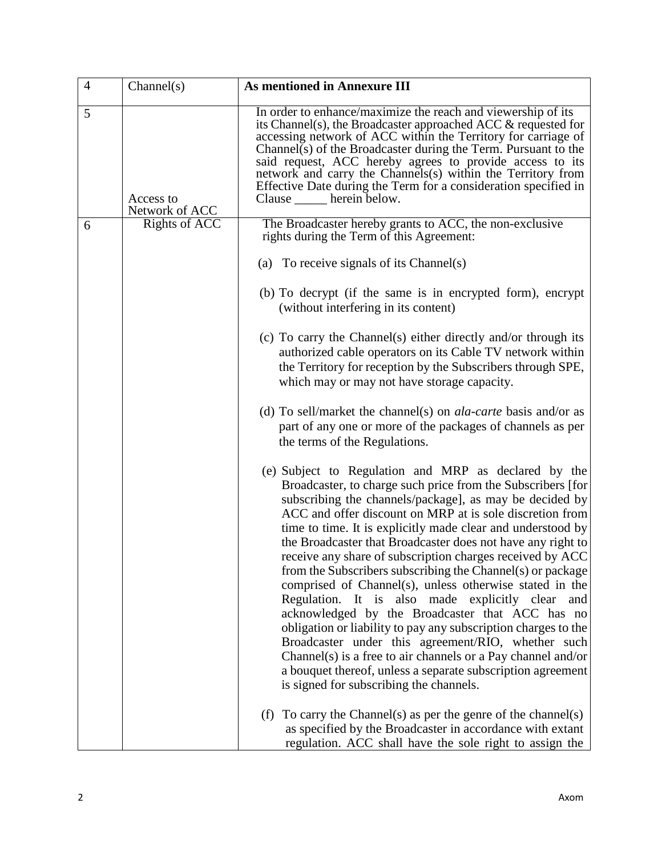| $\overline{4}$ | Channel(s)                  | <b>As mentioned in Annexure III</b>                                                                                                                                                                                                                                                                                                                                                                                                                                                                                                                                                                                                                                                                                                                                                                                                                                                                                                                                     |
|----------------|-----------------------------|-------------------------------------------------------------------------------------------------------------------------------------------------------------------------------------------------------------------------------------------------------------------------------------------------------------------------------------------------------------------------------------------------------------------------------------------------------------------------------------------------------------------------------------------------------------------------------------------------------------------------------------------------------------------------------------------------------------------------------------------------------------------------------------------------------------------------------------------------------------------------------------------------------------------------------------------------------------------------|
| 5              | Access to<br>Network of ACC | In order to enhance/maximize the reach and viewership of its<br>its Channel(s), the Broadcaster approached ACC $\&$ requested for<br>accessing network of ACC within the Territory for carriage of<br>Channel $(s)$ of the Broadcaster during the Term. Pursuant to the<br>said request, ACC hereby agrees to provide access to its<br>network and carry the Channels(s) within the Territory from<br>Effective Date during the Term for a consideration specified in<br>Clause ______ herein below.                                                                                                                                                                                                                                                                                                                                                                                                                                                                    |
| 6              | <b>Rights of ACC</b>        | The Broadcaster hereby grants to ACC, the non-exclusive<br>rights during the Term of this Agreement:                                                                                                                                                                                                                                                                                                                                                                                                                                                                                                                                                                                                                                                                                                                                                                                                                                                                    |
|                |                             | (a) To receive signals of its Channel(s)                                                                                                                                                                                                                                                                                                                                                                                                                                                                                                                                                                                                                                                                                                                                                                                                                                                                                                                                |
|                |                             | (b) To decrypt (if the same is in encrypted form), encrypt<br>(without interfering in its content)                                                                                                                                                                                                                                                                                                                                                                                                                                                                                                                                                                                                                                                                                                                                                                                                                                                                      |
|                |                             | (c) To carry the Channel(s) either directly and/or through its<br>authorized cable operators on its Cable TV network within<br>the Territory for reception by the Subscribers through SPE,<br>which may or may not have storage capacity.                                                                                                                                                                                                                                                                                                                                                                                                                                                                                                                                                                                                                                                                                                                               |
|                |                             | (d) To sell/market the channel(s) on <i>ala-carte</i> basis and/or as<br>part of any one or more of the packages of channels as per<br>the terms of the Regulations.                                                                                                                                                                                                                                                                                                                                                                                                                                                                                                                                                                                                                                                                                                                                                                                                    |
|                |                             | (e) Subject to Regulation and MRP as declared by the<br>Broadcaster, to charge such price from the Subscribers [for<br>subscribing the channels/package], as may be decided by<br>ACC and offer discount on MRP at is sole discretion from<br>time to time. It is explicitly made clear and understood by<br>the Broadcaster that Broadcaster does not have any right to<br>receive any share of subscription charges received by ACC<br>from the Subscribers subscribing the Channel(s) or package<br>comprised of Channel(s), unless otherwise stated in the<br>Regulation. It is also made explicitly clear and<br>acknowledged by the Broadcaster that ACC has no<br>obligation or liability to pay any subscription charges to the<br>Broadcaster under this agreement/RIO, whether such<br>Channel(s) is a free to air channels or a Pay channel and/or<br>a bouquet thereof, unless a separate subscription agreement<br>is signed for subscribing the channels. |
|                |                             | To carry the Channel(s) as per the genre of the channel(s)<br>(f)<br>as specified by the Broadcaster in accordance with extant<br>regulation. ACC shall have the sole right to assign the                                                                                                                                                                                                                                                                                                                                                                                                                                                                                                                                                                                                                                                                                                                                                                               |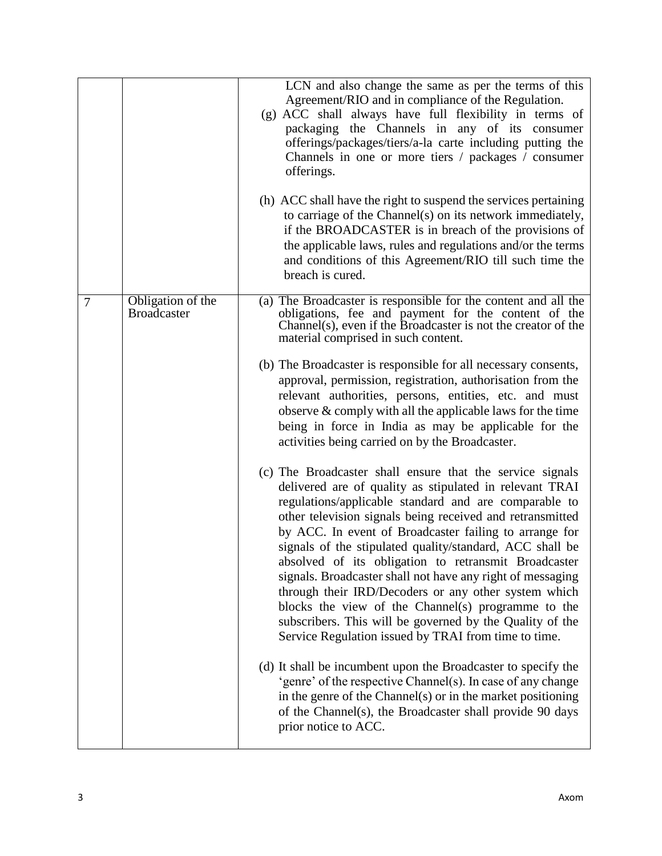|                |                                         | LCN and also change the same as per the terms of this<br>Agreement/RIO and in compliance of the Regulation.<br>(g) ACC shall always have full flexibility in terms of<br>packaging the Channels in any of its consumer<br>offerings/packages/tiers/a-la carte including putting the<br>Channels in one or more tiers / packages / consumer<br>offerings.                                                                                                                                                                                                                                                                                                                                                                 |
|----------------|-----------------------------------------|--------------------------------------------------------------------------------------------------------------------------------------------------------------------------------------------------------------------------------------------------------------------------------------------------------------------------------------------------------------------------------------------------------------------------------------------------------------------------------------------------------------------------------------------------------------------------------------------------------------------------------------------------------------------------------------------------------------------------|
|                |                                         | (h) ACC shall have the right to suspend the services pertaining<br>to carriage of the Channel(s) on its network immediately,<br>if the BROADCASTER is in breach of the provisions of<br>the applicable laws, rules and regulations and/or the terms<br>and conditions of this Agreement/RIO till such time the<br>breach is cured.                                                                                                                                                                                                                                                                                                                                                                                       |
| $\overline{7}$ | Obligation of the<br><b>Broadcaster</b> | (a) The Broadcaster is responsible for the content and all the<br>obligations, fee and payment for the content of the<br>Channel(s), even if the Broadcaster is not the creator of the<br>material comprised in such content.                                                                                                                                                                                                                                                                                                                                                                                                                                                                                            |
|                |                                         | (b) The Broadcaster is responsible for all necessary consents,<br>approval, permission, registration, authorisation from the<br>relevant authorities, persons, entities, etc. and must<br>observe $&$ comply with all the applicable laws for the time<br>being in force in India as may be applicable for the<br>activities being carried on by the Broadcaster.                                                                                                                                                                                                                                                                                                                                                        |
|                |                                         | (c) The Broadcaster shall ensure that the service signals<br>delivered are of quality as stipulated in relevant TRAI<br>regulations/applicable standard and are comparable to<br>other television signals being received and retransmitted<br>by ACC. In event of Broadcaster failing to arrange for<br>signals of the stipulated quality/standard, ACC shall be<br>absolved of its obligation to retransmit Broadcaster<br>signals. Broadcaster shall not have any right of messaging<br>through their IRD/Decoders or any other system which<br>blocks the view of the Channel(s) programme to the<br>subscribers. This will be governed by the Quality of the<br>Service Regulation issued by TRAI from time to time. |
|                |                                         | (d) It shall be incumbent upon the Broadcaster to specify the<br>'genre' of the respective Channel(s). In case of any change<br>in the genre of the Channel(s) or in the market positioning<br>of the Channel(s), the Broadcaster shall provide 90 days<br>prior notice to ACC.                                                                                                                                                                                                                                                                                                                                                                                                                                          |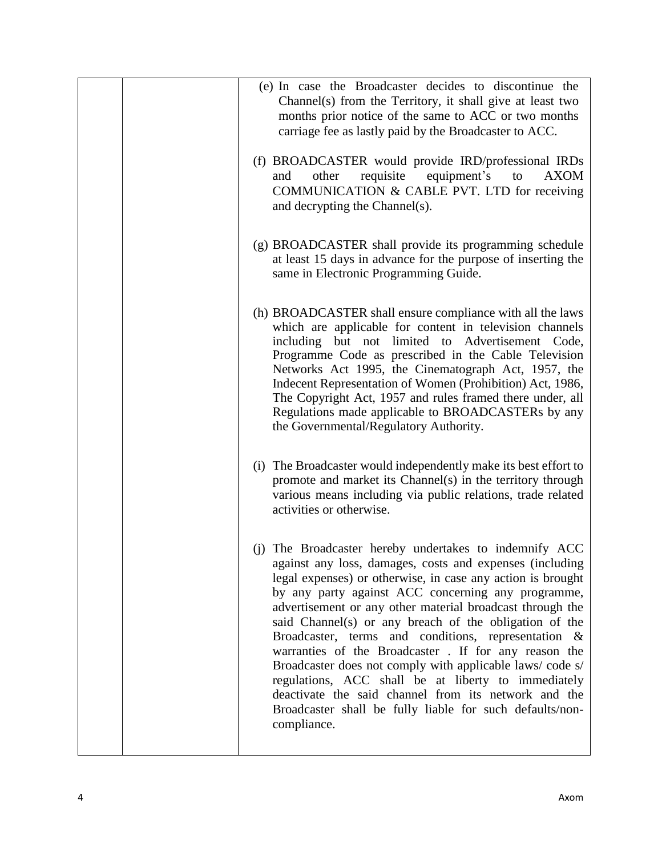| (e) In case the Broadcaster decides to discontinue the<br>Channel(s) from the Territory, it shall give at least two<br>months prior notice of the same to ACC or two months<br>carriage fee as lastly paid by the Broadcaster to ACC.                                                                                                                                                                                                                                                                                                                                                                                                                                                                                                |
|--------------------------------------------------------------------------------------------------------------------------------------------------------------------------------------------------------------------------------------------------------------------------------------------------------------------------------------------------------------------------------------------------------------------------------------------------------------------------------------------------------------------------------------------------------------------------------------------------------------------------------------------------------------------------------------------------------------------------------------|
| (f) BROADCASTER would provide IRD/professional IRDs<br>requisite<br>equipment's<br>other<br>to<br><b>AXOM</b><br>and<br>COMMUNICATION & CABLE PVT. LTD for receiving<br>and decrypting the Channel(s).                                                                                                                                                                                                                                                                                                                                                                                                                                                                                                                               |
| (g) BROADCASTER shall provide its programming schedule<br>at least 15 days in advance for the purpose of inserting the<br>same in Electronic Programming Guide.                                                                                                                                                                                                                                                                                                                                                                                                                                                                                                                                                                      |
| (h) BROADCASTER shall ensure compliance with all the laws<br>which are applicable for content in television channels<br>including but not limited to Advertisement Code,<br>Programme Code as prescribed in the Cable Television<br>Networks Act 1995, the Cinematograph Act, 1957, the<br>Indecent Representation of Women (Prohibition) Act, 1986,<br>The Copyright Act, 1957 and rules framed there under, all<br>Regulations made applicable to BROADCASTERs by any<br>the Governmental/Regulatory Authority.                                                                                                                                                                                                                    |
| (i) The Broadcaster would independently make its best effort to<br>promote and market its Channel(s) in the territory through<br>various means including via public relations, trade related<br>activities or otherwise.                                                                                                                                                                                                                                                                                                                                                                                                                                                                                                             |
| (j) The Broadcaster hereby undertakes to indemnify ACC<br>against any loss, damages, costs and expenses (including<br>legal expenses) or otherwise, in case any action is brought<br>by any party against ACC concerning any programme,<br>advertisement or any other material broadcast through the<br>said Channel(s) or any breach of the obligation of the<br>Broadcaster, terms and conditions, representation &<br>warranties of the Broadcaster . If for any reason the<br>Broadcaster does not comply with applicable laws/code s/<br>regulations, ACC shall be at liberty to immediately<br>deactivate the said channel from its network and the<br>Broadcaster shall be fully liable for such defaults/non-<br>compliance. |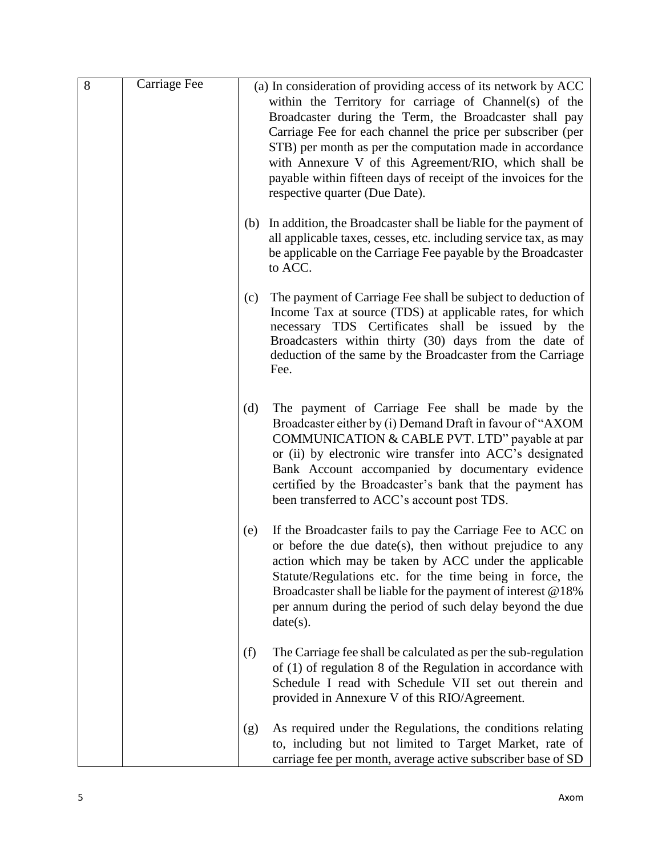| 8 | Carriage Fee |     | (a) In consideration of providing access of its network by ACC<br>within the Territory for carriage of Channel(s) of the<br>Broadcaster during the Term, the Broadcaster shall pay<br>Carriage Fee for each channel the price per subscriber (per<br>STB) per month as per the computation made in accordance<br>with Annexure V of this Agreement/RIO, which shall be<br>payable within fifteen days of receipt of the invoices for the<br>respective quarter (Due Date). |
|---|--------------|-----|----------------------------------------------------------------------------------------------------------------------------------------------------------------------------------------------------------------------------------------------------------------------------------------------------------------------------------------------------------------------------------------------------------------------------------------------------------------------------|
|   |              | (b) | In addition, the Broadcaster shall be liable for the payment of<br>all applicable taxes, cesses, etc. including service tax, as may<br>be applicable on the Carriage Fee payable by the Broadcaster<br>to ACC.                                                                                                                                                                                                                                                             |
|   |              | (c) | The payment of Carriage Fee shall be subject to deduction of<br>Income Tax at source (TDS) at applicable rates, for which<br>necessary TDS Certificates shall be issued by the<br>Broadcasters within thirty (30) days from the date of<br>deduction of the same by the Broadcaster from the Carriage<br>Fee.                                                                                                                                                              |
|   |              | (d) | The payment of Carriage Fee shall be made by the<br>Broadcaster either by (i) Demand Draft in favour of "AXOM<br>COMMUNICATION & CABLE PVT. LTD" payable at par<br>or (ii) by electronic wire transfer into ACC's designated<br>Bank Account accompanied by documentary evidence<br>certified by the Broadcaster's bank that the payment has<br>been transferred to ACC's account post TDS.                                                                                |
|   |              | (e) | If the Broadcaster fails to pay the Carriage Fee to ACC on<br>or before the due date(s), then without prejudice to any<br>action which may be taken by ACC under the applicable<br>Statute/Regulations etc. for the time being in force, the<br>Broadcaster shall be liable for the payment of interest $@18\%$<br>per annum during the period of such delay beyond the due<br>date(s).                                                                                    |
|   |              | (f) | The Carriage fee shall be calculated as per the sub-regulation<br>of $(1)$ of regulation 8 of the Regulation in accordance with<br>Schedule I read with Schedule VII set out therein and<br>provided in Annexure V of this RIO/Agreement.                                                                                                                                                                                                                                  |
|   |              | (g) | As required under the Regulations, the conditions relating<br>to, including but not limited to Target Market, rate of<br>carriage fee per month, average active subscriber base of SD                                                                                                                                                                                                                                                                                      |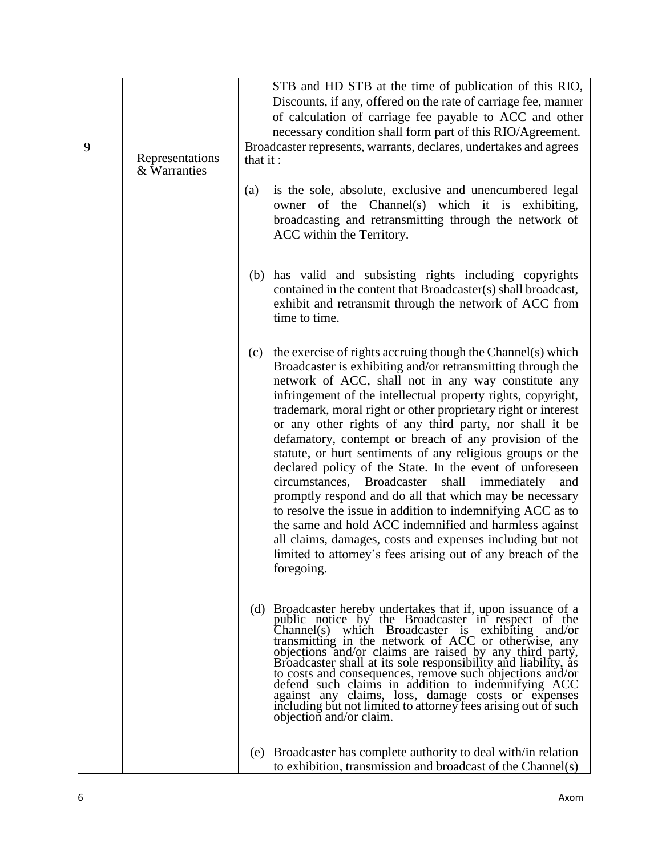|   |                                 | STB and HD STB at the time of publication of this RIO,                                                                                                                                                                                                                                                                                                                                                                                                                                                                                                                                                                                                                                                                                                                                                                                                                                                                                                          |
|---|---------------------------------|-----------------------------------------------------------------------------------------------------------------------------------------------------------------------------------------------------------------------------------------------------------------------------------------------------------------------------------------------------------------------------------------------------------------------------------------------------------------------------------------------------------------------------------------------------------------------------------------------------------------------------------------------------------------------------------------------------------------------------------------------------------------------------------------------------------------------------------------------------------------------------------------------------------------------------------------------------------------|
|   |                                 | Discounts, if any, offered on the rate of carriage fee, manner                                                                                                                                                                                                                                                                                                                                                                                                                                                                                                                                                                                                                                                                                                                                                                                                                                                                                                  |
|   |                                 | of calculation of carriage fee payable to ACC and other                                                                                                                                                                                                                                                                                                                                                                                                                                                                                                                                                                                                                                                                                                                                                                                                                                                                                                         |
|   |                                 | necessary condition shall form part of this RIO/Agreement.                                                                                                                                                                                                                                                                                                                                                                                                                                                                                                                                                                                                                                                                                                                                                                                                                                                                                                      |
| 9 | Representations<br>& Warranties | Broadcaster represents, warrants, declares, undertakes and agrees<br>that it:                                                                                                                                                                                                                                                                                                                                                                                                                                                                                                                                                                                                                                                                                                                                                                                                                                                                                   |
|   |                                 | is the sole, absolute, exclusive and unencumbered legal<br>(a)<br>owner of the Channel(s) which it is exhibiting,<br>broadcasting and retransmitting through the network of<br>ACC within the Territory.                                                                                                                                                                                                                                                                                                                                                                                                                                                                                                                                                                                                                                                                                                                                                        |
|   |                                 | (b) has valid and subsisting rights including copyrights<br>contained in the content that Broadcaster(s) shall broadcast,<br>exhibit and retransmit through the network of ACC from<br>time to time.                                                                                                                                                                                                                                                                                                                                                                                                                                                                                                                                                                                                                                                                                                                                                            |
|   |                                 | the exercise of rights accruing though the Channel(s) which<br>(c)<br>Broadcaster is exhibiting and/or retransmitting through the<br>network of ACC, shall not in any way constitute any<br>infringement of the intellectual property rights, copyright,<br>trademark, moral right or other proprietary right or interest<br>or any other rights of any third party, nor shall it be<br>defamatory, contempt or breach of any provision of the<br>statute, or hurt sentiments of any religious groups or the<br>declared policy of the State. In the event of unforeseen<br>circumstances, Broadcaster<br>shall immediately<br>and<br>promptly respond and do all that which may be necessary<br>to resolve the issue in addition to indemnifying ACC as to<br>the same and hold ACC indemnified and harmless against<br>all claims, damages, costs and expenses including but not<br>limited to attorney's fees arising out of any breach of the<br>foregoing. |
|   |                                 | (d) Broadcaster hereby undertakes that if, upon issuance of a<br>public notice by the Broadcaster in respect of the<br>Channel(s) which Broadcaster is exhibiting and/or<br>transmitting in the network of ACC or otherwise, any<br>objections and/or claims are raised by any third party,<br>Broadcaster shall at its sole responsibility and liability, as<br>to costs and consequences, remove such objections and/or<br>defend such claims in addition to indemnifying ACC<br>against any claims, loss, damage costs or expenses<br>including but not limited to attorney fees arising out of such<br>objection and/or claim.                                                                                                                                                                                                                                                                                                                              |
|   |                                 | (e) Broadcaster has complete authority to deal with/in relation<br>to exhibition, transmission and broadcast of the Channel(s)                                                                                                                                                                                                                                                                                                                                                                                                                                                                                                                                                                                                                                                                                                                                                                                                                                  |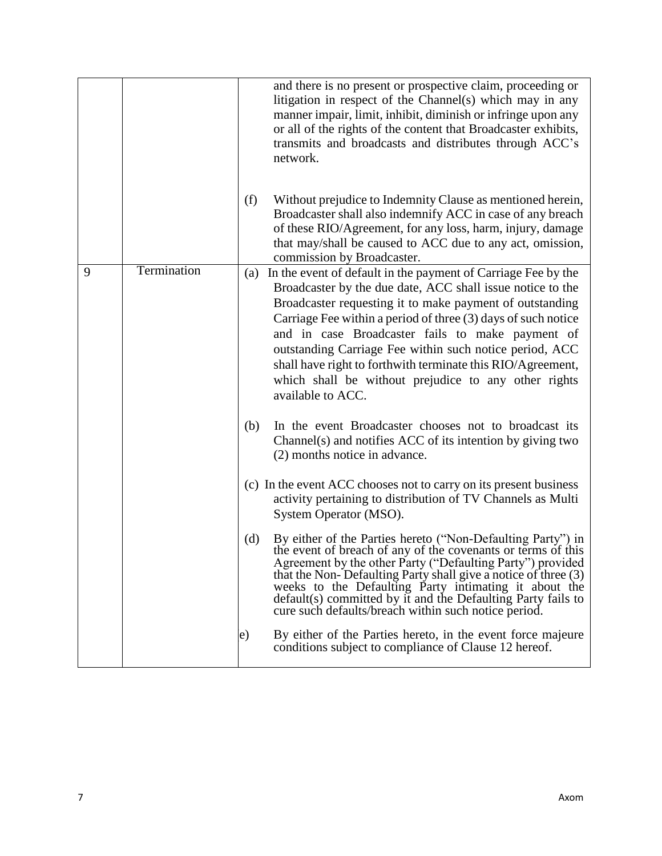|   |             |     | and there is no present or prospective claim, proceeding or<br>litigation in respect of the Channel(s) which may in any<br>manner impair, limit, inhibit, diminish or infringe upon any<br>or all of the rights of the content that Broadcaster exhibits,<br>transmits and broadcasts and distributes through ACC's<br>network.                                                                                                                                                                                     |
|---|-------------|-----|---------------------------------------------------------------------------------------------------------------------------------------------------------------------------------------------------------------------------------------------------------------------------------------------------------------------------------------------------------------------------------------------------------------------------------------------------------------------------------------------------------------------|
|   |             | (f) | Without prejudice to Indemnity Clause as mentioned herein,<br>Broadcaster shall also indemnify ACC in case of any breach<br>of these RIO/Agreement, for any loss, harm, injury, damage<br>that may/shall be caused to ACC due to any act, omission,<br>commission by Broadcaster.                                                                                                                                                                                                                                   |
| 9 | Termination | (a) | In the event of default in the payment of Carriage Fee by the<br>Broadcaster by the due date, ACC shall issue notice to the<br>Broadcaster requesting it to make payment of outstanding<br>Carriage Fee within a period of three (3) days of such notice<br>and in case Broadcaster fails to make payment of<br>outstanding Carriage Fee within such notice period, ACC<br>shall have right to forthwith terminate this RIO/Agreement,<br>which shall be without prejudice to any other rights<br>available to ACC. |
|   |             | (b) | In the event Broadcaster chooses not to broadcast its<br>Channel(s) and notifies ACC of its intention by giving two<br>(2) months notice in advance.                                                                                                                                                                                                                                                                                                                                                                |
|   |             |     | (c) In the event ACC chooses not to carry on its present business<br>activity pertaining to distribution of TV Channels as Multi<br>System Operator (MSO).                                                                                                                                                                                                                                                                                                                                                          |
|   |             | (d) | By either of the Parties hereto ("Non-Defaulting Party") in<br>the event of breach of any of the covenants or terms of this<br>Agreement by the other Party ("Defaulting Party") provided<br>that the Non-Defaulting Party shall give a notice of three (3)<br>weeks to the Defaulting Party intimating it about the<br>default(s) committed by it and the Defaulting Party fails to<br>cure such defaults/breach within such notice period.                                                                        |
|   |             | e)  | By either of the Parties hereto, in the event force majeure<br>conditions subject to compliance of Clause 12 hereof.                                                                                                                                                                                                                                                                                                                                                                                                |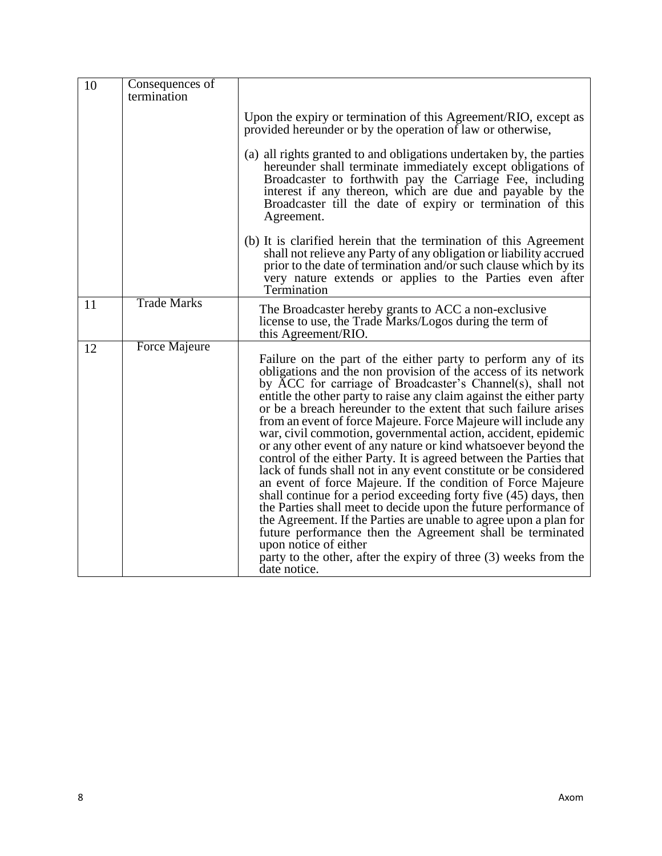| 10 | Consequences of<br>termination |                                                                                                                                                                                                                                                                                                                                                                                                                                                                                                                                                                                                                                                                                                                                                                                                                                                                                                                                                                                                                                                                                                                                              |
|----|--------------------------------|----------------------------------------------------------------------------------------------------------------------------------------------------------------------------------------------------------------------------------------------------------------------------------------------------------------------------------------------------------------------------------------------------------------------------------------------------------------------------------------------------------------------------------------------------------------------------------------------------------------------------------------------------------------------------------------------------------------------------------------------------------------------------------------------------------------------------------------------------------------------------------------------------------------------------------------------------------------------------------------------------------------------------------------------------------------------------------------------------------------------------------------------|
|    |                                | Upon the expiry or termination of this Agreement/RIO, except as<br>provided hereunder or by the operation of law or otherwise,                                                                                                                                                                                                                                                                                                                                                                                                                                                                                                                                                                                                                                                                                                                                                                                                                                                                                                                                                                                                               |
|    |                                | (a) all rights granted to and obligations undertaken by, the parties<br>hereunder shall terminate immediately except obligations of<br>Broadcaster to forthwith pay the Carriage Fee, including<br>interest if any thereon, which are due and payable by the<br>Broadcaster till the date of expiry or termination of this<br>Agreement.                                                                                                                                                                                                                                                                                                                                                                                                                                                                                                                                                                                                                                                                                                                                                                                                     |
|    |                                | (b) It is clarified herein that the termination of this Agreement<br>shall not relieve any Party of any obligation or liability accrued<br>prior to the date of termination and/or such clause which by its<br>very nature extends or applies to the Parties even after<br>Termination                                                                                                                                                                                                                                                                                                                                                                                                                                                                                                                                                                                                                                                                                                                                                                                                                                                       |
| 11 | <b>Trade Marks</b>             | The Broadcaster hereby grants to ACC a non-exclusive<br>license to use, the Trade Marks/Logos during the term of<br>this Agreement/RIO.                                                                                                                                                                                                                                                                                                                                                                                                                                                                                                                                                                                                                                                                                                                                                                                                                                                                                                                                                                                                      |
| 12 | <b>Force Majeure</b>           | Failure on the part of the either party to perform any of its<br>obligations and the non provision of the access of its network<br>by ACC for carriage of Broadcaster's Channel(s), shall not<br>entitle the other party to raise any claim against the either party<br>or be a breach hereunder to the extent that such failure arises<br>from an event of force Majeure. Force Majeure will include any<br>war, civil commotion, governmental action, accident, epidemic<br>or any other event of any nature or kind whatsoever beyond the<br>control of the either Party. It is agreed between the Parties that<br>lack of funds shall not in any event constitute or be considered<br>an event of force Majeure. If the condition of Force Majeure<br>shall continue for a period exceeding forty five (45) days, then<br>the Parties shall meet to decide upon the future performance of<br>the Agreement. If the Parties are unable to agree upon a plan for<br>future performance then the Agreement shall be terminated<br>upon notice of either<br>party to the other, after the expiry of three (3) weeks from the<br>date notice. |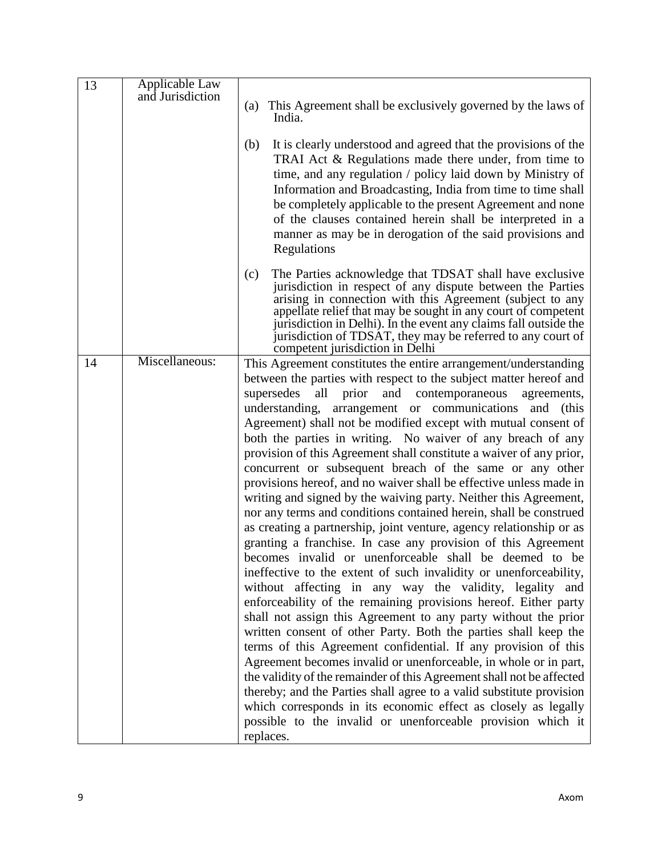| 13 | Applicable Law   |                                                                                                                                 |
|----|------------------|---------------------------------------------------------------------------------------------------------------------------------|
|    | and Jurisdiction |                                                                                                                                 |
|    |                  | (a) This Agreement shall be exclusively governed by the laws of<br>India.                                                       |
|    |                  |                                                                                                                                 |
|    |                  | It is clearly understood and agreed that the provisions of the<br>(b)                                                           |
|    |                  | TRAI Act & Regulations made there under, from time to                                                                           |
|    |                  | time, and any regulation / policy laid down by Ministry of                                                                      |
|    |                  | Information and Broadcasting, India from time to time shall                                                                     |
|    |                  | be completely applicable to the present Agreement and none                                                                      |
|    |                  | of the clauses contained herein shall be interpreted in a                                                                       |
|    |                  | manner as may be in derogation of the said provisions and                                                                       |
|    |                  |                                                                                                                                 |
|    |                  | Regulations                                                                                                                     |
|    |                  | The Parties acknowledge that TDSAT shall have exclusive<br>(c)                                                                  |
|    |                  | jurisdiction in respect of any dispute between the Parties                                                                      |
|    |                  | arising in connection with this Agreement (subject to any                                                                       |
|    |                  | appellate relief that may be sought in any court of competent                                                                   |
|    |                  | jurisdiction in Delhi). In the event any claims fall outside the<br>jurisdiction of TDSAT, they may be referred to any court of |
|    |                  | competent jurisdiction in Delhi                                                                                                 |
| 14 | Miscellaneous:   | This Agreement constitutes the entire arrangement/understanding                                                                 |
|    |                  | between the parties with respect to the subject matter hereof and                                                               |
|    |                  | supersedes<br>all prior<br>and contemporaneous<br>agreements,                                                                   |
|    |                  | understanding, arrangement or communications and (this                                                                          |
|    |                  | Agreement) shall not be modified except with mutual consent of                                                                  |
|    |                  | both the parties in writing. No waiver of any breach of any                                                                     |
|    |                  | provision of this Agreement shall constitute a waiver of any prior,                                                             |
|    |                  | concurrent or subsequent breach of the same or any other                                                                        |
|    |                  | provisions hereof, and no waiver shall be effective unless made in                                                              |
|    |                  | writing and signed by the waiving party. Neither this Agreement,                                                                |
|    |                  | nor any terms and conditions contained herein, shall be construed                                                               |
|    |                  | as creating a partnership, joint venture, agency relationship or as                                                             |
|    |                  | granting a franchise. In case any provision of this Agreement                                                                   |
|    |                  | becomes invalid or unenforceable shall be deemed to be                                                                          |
|    |                  | ineffective to the extent of such invalidity or unenforceability,                                                               |
|    |                  | without affecting in any way the validity, legality and                                                                         |
|    |                  | enforceability of the remaining provisions hereof. Either party                                                                 |
|    |                  | shall not assign this Agreement to any party without the prior                                                                  |
|    |                  | written consent of other Party. Both the parties shall keep the                                                                 |
|    |                  | terms of this Agreement confidential. If any provision of this                                                                  |
|    |                  | Agreement becomes invalid or unenforceable, in whole or in part,                                                                |
|    |                  | the validity of the remainder of this Agreement shall not be affected                                                           |
|    |                  | thereby; and the Parties shall agree to a valid substitute provision                                                            |
|    |                  | which corresponds in its economic effect as closely as legally                                                                  |
|    |                  | possible to the invalid or unenforceable provision which it                                                                     |
|    |                  | replaces.                                                                                                                       |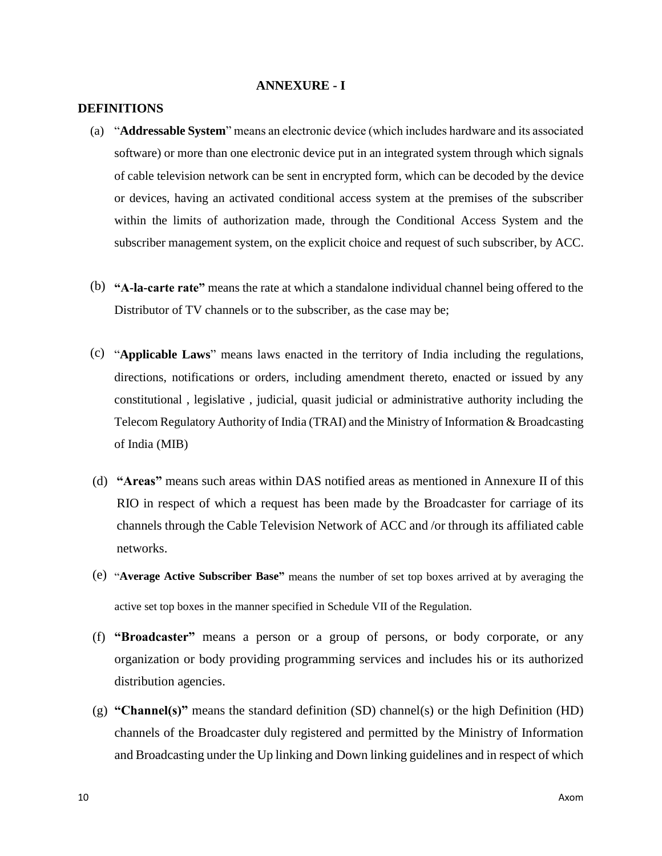#### **ANNEXURE - I**

#### **DEFINITIONS**

- (a) "**Addressable System**" means an electronic device (which includes hardware and its associated software) or more than one electronic device put in an integrated system through which signals of cable television network can be sent in encrypted form, which can be decoded by the device or devices, having an activated conditional access system at the premises of the subscriber within the limits of authorization made, through the Conditional Access System and the subscriber management system, on the explicit choice and request of such subscriber, by ACC.
- (b) **"A-la-carte rate"** means the rate at which a standalone individual channel being offered to the Distributor of TV channels or to the subscriber, as the case may be;
- (c) "**Applicable Laws**" means laws enacted in the territory of India including the regulations, directions, notifications or orders, including amendment thereto, enacted or issued by any constitutional , legislative , judicial, quasit judicial or administrative authority including the Telecom Regulatory Authority of India (TRAI) and the Ministry of Information & Broadcasting of India (MIB)
- (d) **"Areas"** means such areas within DAS notified areas as mentioned in Annexure II of this RIO in respect of which a request has been made by the Broadcaster for carriage of its channels through the Cable Television Network of ACC and /or through its affiliated cable networks.
- (e) "**Average Active Subscriber Base"** means the number of set top boxes arrived at by averaging the active set top boxes in the manner specified in Schedule VII of the Regulation.
- (f) **"Broadcaster"** means a person or a group of persons, or body corporate, or any organization or body providing programming services and includes his or its authorized distribution agencies.
- (g) **"Channel(s)"** means the standard definition (SD) channel(s) or the high Definition (HD) channels of the Broadcaster duly registered and permitted by the Ministry of Information and Broadcasting under the Up linking and Down linking guidelines and in respect of which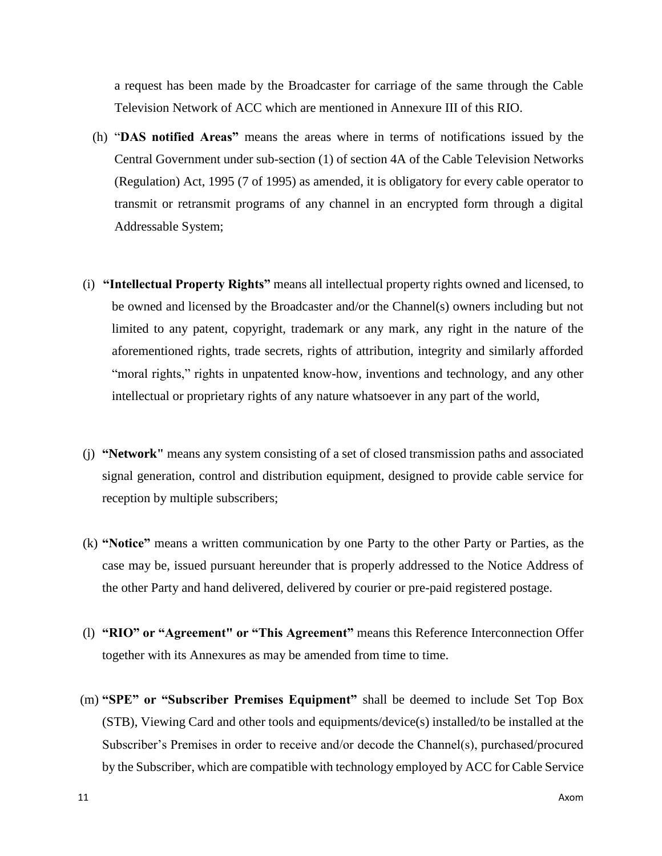a request has been made by the Broadcaster for carriage of the same through the Cable Television Network of ACC which are mentioned in Annexure III of this RIO.

- (h) "**DAS notified Areas"** means the areas where in terms of notifications issued by the Central Government under sub-section (1) of section 4A of the Cable Television Networks (Regulation) Act, 1995 (7 of 1995) as amended, it is obligatory for every cable operator to transmit or retransmit programs of any channel in an encrypted form through a digital Addressable System;
- (i) **"Intellectual Property Rights"** means all intellectual property rights owned and licensed, to be owned and licensed by the Broadcaster and/or the Channel(s) owners including but not limited to any patent, copyright, trademark or any mark, any right in the nature of the aforementioned rights, trade secrets, rights of attribution, integrity and similarly afforded "moral rights," rights in unpatented know-how, inventions and technology, and any other intellectual or proprietary rights of any nature whatsoever in any part of the world,
- (j) **"Network"** means any system consisting of a set of closed transmission paths and associated signal generation, control and distribution equipment, designed to provide cable service for reception by multiple subscribers;
- (k) **"Notice"** means a written communication by one Party to the other Party or Parties, as the case may be, issued pursuant hereunder that is properly addressed to the Notice Address of the other Party and hand delivered, delivered by courier or pre-paid registered postage.
- (l) **"RIO" or "Agreement" or "This Agreement"** means this Reference Interconnection Offer together with its Annexures as may be amended from time to time.
- (m) **"SPE" or "Subscriber Premises Equipment"** shall be deemed to include Set Top Box (STB), Viewing Card and other tools and equipments/device(s) installed/to be installed at the Subscriber's Premises in order to receive and/or decode the Channel(s), purchased/procured by the Subscriber, which are compatible with technology employed by ACC for Cable Service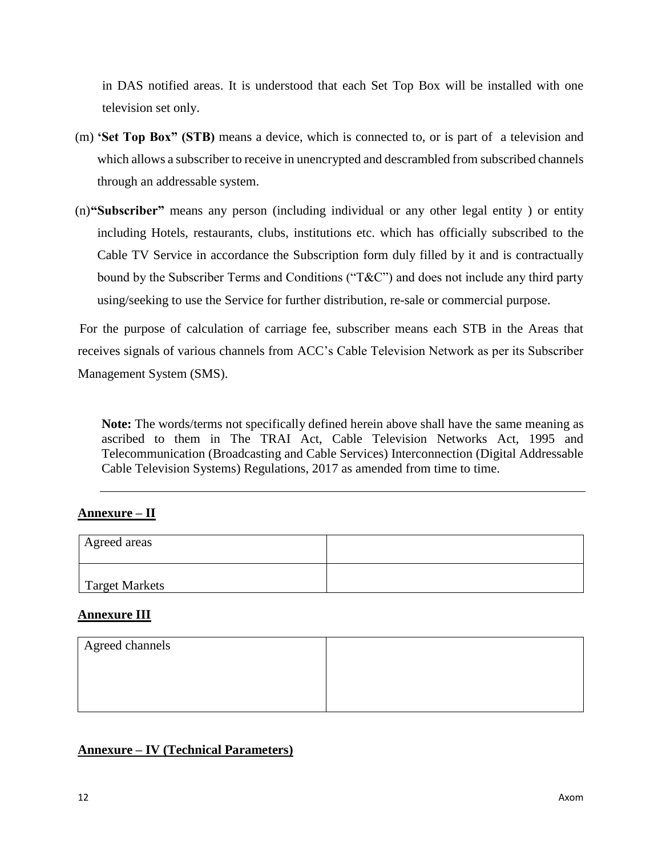in DAS notified areas. It is understood that each Set Top Box will be installed with one television set only.

- (m) **'Set Top Box" (STB)** means a device, which is connected to, or is part of a television and which allows a subscriber to receive in unencrypted and descrambled from subscribed channels through an addressable system.
- (n)**"Subscriber"** means any person (including individual or any other legal entity ) or entity including Hotels, restaurants, clubs, institutions etc. which has officially subscribed to the Cable TV Service in accordance the Subscription form duly filled by it and is contractually bound by the Subscriber Terms and Conditions ("T&C") and does not include any third party using/seeking to use the Service for further distribution, re-sale or commercial purpose.

For the purpose of calculation of carriage fee, subscriber means each STB in the Areas that receives signals of various channels from ACC's Cable Television Network as per its Subscriber Management System (SMS).

**Note:** The words/terms not specifically defined herein above shall have the same meaning as ascribed to them in The TRAI Act, Cable Television Networks Act, 1995 and Telecommunication (Broadcasting and Cable Services) Interconnection (Digital Addressable Cable Television Systems) Regulations, 2017 as amended from time to time.

#### **Annexure – II**

| Agreed areas   |  |
|----------------|--|
| Target Markets |  |

#### **Annexure III**

| Agreed channels |  |
|-----------------|--|
|                 |  |
|                 |  |
|                 |  |

#### **Annexure – IV (Technical Parameters)**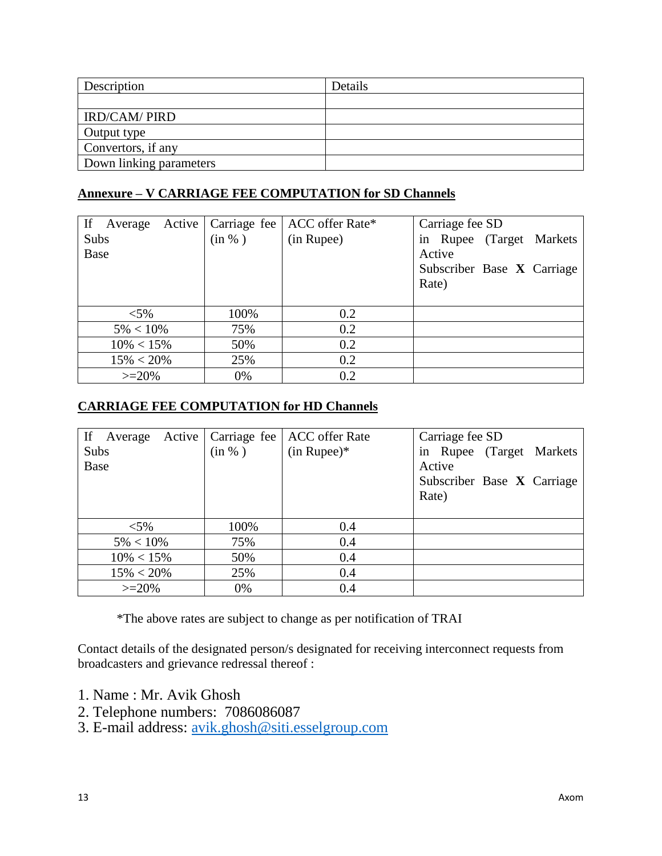| Description             | Details |
|-------------------------|---------|
|                         |         |
| <b>IRD/CAM/ PIRD</b>    |         |
| Output type             |         |
| Convertors, if any      |         |
| Down linking parameters |         |

### **Annexure – V CARRIAGE FEE COMPUTATION for SD Channels**

| If<br>Average |  |        | Active   Carriage fee   ACC offer Rate* | Carriage fee SD            |
|---------------|--|--------|-----------------------------------------|----------------------------|
| Subs          |  | (in %) | (in Rupee)                              | in Rupee (Target Markets   |
| Base          |  |        |                                         | Active                     |
|               |  |        |                                         | Subscriber Base X Carriage |
|               |  |        |                                         | Rate)                      |
|               |  |        |                                         |                            |
| $< 5\%$       |  | 100%   | 0.2                                     |                            |
| $5\% < 10\%$  |  | 75%    | 0.2                                     |                            |
| $10\% < 15\%$ |  | 50%    | 0.2                                     |                            |
| $15\% < 20\%$ |  | 25%    | 0.2                                     |                            |
| $>=20%$       |  | 0%     | 0.2                                     |                            |

# **CARRIAGE FEE COMPUTATION for HD Channels**

| If<br>Active  <br>Average | Carriage fee | <b>ACC</b> offer Rate | Carriage fee SD            |
|---------------------------|--------------|-----------------------|----------------------------|
| Subs                      | (in %)       | $(in Runee)*$         | in Rupee (Target Markets   |
| <b>Base</b>               |              |                       | Active                     |
|                           |              |                       | Subscriber Base X Carriage |
|                           |              |                       | Rate)                      |
|                           |              |                       |                            |
| $< 5\%$                   | 100%         | 0.4                   |                            |
| $5\% < 10\%$              | 75%          | 0.4                   |                            |
| $10\% < 15\%$             | 50%          | 0.4                   |                            |
| $15\% < 20\%$             | 25%          | 0.4                   |                            |
| $>=20%$                   | 0%           | 0.4                   |                            |

\*The above rates are subject to change as per notification of TRAI

Contact details of the designated person/s designated for receiving interconnect requests from broadcasters and grievance redressal thereof :

- 1. Name : Mr. Avik Ghosh
- 2. Telephone numbers: 7086086087
- 3. E-mail address: [avik.ghosh@siti.esselgroup.com](mailto:avik.ghosh@siti.esselgroup.com)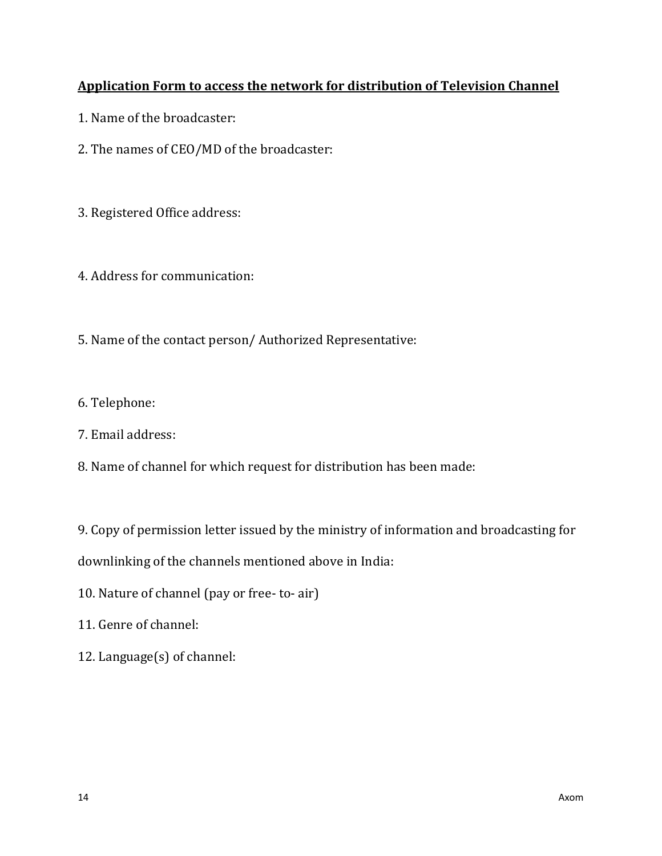# **Application Form to access the network for distribution of Television Channel**

- 1. Name of the broadcaster:
- 2. The names of CEO/MD of the broadcaster:
- 3. Registered Office address:
- 4. Address for communication:
- 5. Name of the contact person/ Authorized Representative:
- 6. Telephone:
- 7. Email address:
- 8. Name of channel for which request for distribution has been made:

9. Copy of permission letter issued by the ministry of information and broadcasting for

downlinking of the channels mentioned above in India:

- 10. Nature of channel (pay or free- to- air)
- 11. Genre of channel:
- 12. Language(s) of channel: